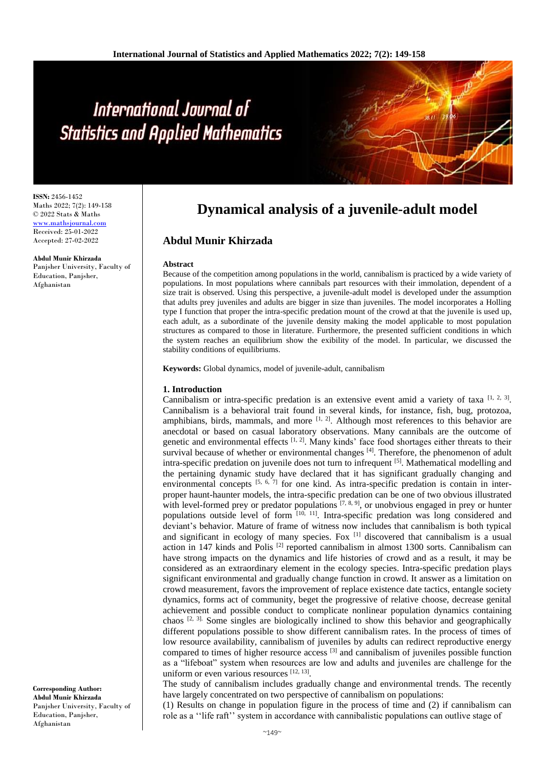# International Journal of **Statistics and Applied Mathematics**

**ISSN:** 2456-1452 Maths 2022; 7(2): 149-158 © 2022 Stats & Maths <www.mathsjournal.com> Received: 25-01-2022 Accepted: 27-02-2022

**Abdul Munir Khirzada** Panjsher University, Faculty of Education, Panjsher, Afghanistan

**Dynamical analysis of a juvenile-adult model**

# **Abdul Munir Khirzada**

#### **Abstract**

Because of the competition among populations in the world, cannibalism is practiced by a wide variety of populations. In most populations where cannibals part resources with their immolation, dependent of a size trait is observed. Using this perspective, a juvenile-adult model is developed under the assumption that adults prey juveniles and adults are bigger in size than juveniles. The model incorporates a Holling type I function that proper the intra-specific predation mount of the crowd at that the juvenile is used up, each adult, as a subordinate of the juvenile density making the model applicable to most population structures as compared to those in literature. Furthermore, the presented sufficient conditions in which the system reaches an equilibrium show the exibility of the model. In particular, we discussed the stability conditions of equilibriums.

**Keywords:** Global dynamics, model of juvenile-adult, cannibalism

#### **1. Introduction**

Cannibalism or intra-specific predation is an extensive event amid a variety of taxa  $[1, 2, 3]$ . Cannibalism is a behavioral trait found in several kinds, for instance, fish, bug, protozoa, amphibians, birds, mammals, and more  $\left[1, 2\right]$ . Although most references to this behavior are anecdotal or based on casual laboratory observations. Many cannibals are the outcome of genetic and environmental effects  $[1, 2]$ . Many kinds' face food shortages either threats to their survival because of whether or environmental changes  $^{[4]}$ . Therefore, the phenomenon of adult intra-specific predation on juvenile does not turn to infrequent [5]. Mathematical modelling and the pertaining dynamic study have declared that it has significant gradually changing and environmental concepts <sup>[5, 6, 7]</sup> for one kind. As intra-specific predation is contain in interproper haunt-haunter models, the intra-specific predation can be one of two obvious illustrated with level-formed prey or predator populations  $[7, 8, 9]$ , or unobvious engaged in prey or hunter populations outside level of form  $[10, 11]$ . Intra-specific predation was long considered and deviant's behavior. Mature of frame of witness now includes that cannibalism is both typical and significant in ecology of many species. Fox  $\left[1\right]$  discovered that cannibalism is a usual action in 147 kinds and Polis  $^{[2]}$  reported cannibalism in almost 1300 sorts. Cannibalism can have strong impacts on the dynamics and life histories of crowd and as a result, it may be considered as an extraordinary element in the ecology species. Intra-specific predation plays significant environmental and gradually change function in crowd. It answer as a limitation on crowd measurement, favors the improvement of replace existence date tactics, entangle society dynamics, forms act of community, beget the progressive of relative choose, decrease genital achievement and possible conduct to complicate nonlinear population dynamics containing chaos [2, 3]. Some singles are biologically inclined to show this behavior and geographically different populations possible to show different cannibalism rates. In the process of times of low resource availability, cannibalism of juveniles by adults can redirect reproductive energy compared to times of higher resource access  $[3]$  and cannibalism of juveniles possible function as a "lifeboat" system when resources are low and adults and juveniles are challenge for the uniform or even various resources [12, 13].

The study of cannibalism includes gradually change and environmental trends. The recently have largely concentrated on two perspective of cannibalism on populations:

(1) Results on change in population figure in the process of time and (2) if cannibalism can role as a ''life raft'' system in accordance with cannibalistic populations can outlive stage of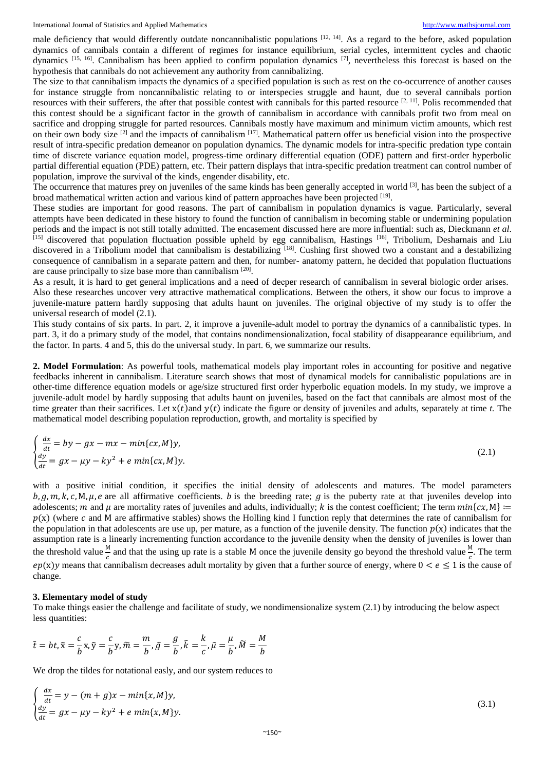male deficiency that would differently outdate noncannibalistic populations  $[12, 14]$ . As a regard to the before, asked population dynamics of cannibals contain a different of regimes for instance equilibrium, serial cycles, intermittent cycles and chaotic dynamics [15, 16]. Cannibalism has been applied to confirm population dynamics [7], nevertheless this forecast is based on the hypothesis that cannibals do not achievement any authority from cannibalizing.

The size to that cannibalism impacts the dynamics of a specified population is such as rest on the co-occurrence of another causes for instance struggle from noncannibalistic relating to or interspecies struggle and haunt, due to several cannibals portion resources with their sufferers, the after that possible contest with cannibals for this parted resource  $[2, 11]$ . Polis recommended that this contest should be a significant factor in the growth of cannibalism in accordance with cannibals profit two from meal on sacrifice and dropping struggle for parted resources. Cannibals mostly have maximum and minimum victim amounts, which rest on their own body size <sup>[2]</sup> and the impacts of cannibalism <sup>[17]</sup>. Mathematical pattern offer us beneficial vision into the prospective result of intra-specific predation demeanor on population dynamics. The dynamic models for intra-specific predation type contain time of discrete variance equation model, progress-time ordinary differential equation (ODE) pattern and first-order hyperbolic partial differential equation (PDE) pattern, etc. Their pattern displays that intra-specific predation treatment can control number of population, improve the survival of the kinds, engender disability, etc.

The occurrence that matures prey on juveniles of the same kinds has been generally accepted in world  $[3]$ , has been the subject of a broad mathematical written action and various kind of pattern approaches have been projected [19].

These studies are important for good reasons. The part of cannibalism in population dynamics is vague. Particularly, several attempts have been dedicated in these history to found the function of cannibalism in becoming stable or undermining population periods and the impact is not still totally admitted. The encasement discussed here are more influential: such as, Dieckmann *et al*.  $^{[15]}$  discovered that population fluctuation possible upheld by egg cannibalism, Hastings  $^{[16]}$ , Tribolium, Desharnais and Liu discovered in a Tribolium model that cannibalism is destabilizing [18]. Cushing first showed two a constant and a destabilizing consequence of cannibalism in a separate pattern and then, for number- anatomy pattern, he decided that population fluctuations are cause principally to size base more than cannibalism [20].

As a result, it is hard to get general implications and a need of deеper research of cannibalism in several biologic order arises. Also these researches uncover very attractive mathematical complications. Between the others, it show our focus to improve a juvenile-mature pattern hardly supposing that adults haunt on juveniles. The original objective of my study is to offer the universal research of model (2.1).

This study contains of six parts. In part. 2, it improve a juvenile-adult model to portray the dynamics of a cannibalistic types. In part. 3, it do a primary study of the model, that contains nondimensionalization, focal stability of disappearance equilibrium, and the factor. In parts. 4 and 5, this do the universal study. In part. 6, we summarize our results.

**2. Model Formulation**: As powerful tools, mathematical models play important roles in accounting for positive and negative feedbacks inherent in cannibalism. Literature search shows that most of dynamical models for cannibalistic populations are in other-time difference equation models or age/size structured first order hyperbolic equation models. In my study, we improve a juvenile-adult model by hardly supposing that adults haunt on juveniles, based on the fact that cannibals are almost most of the time greater than their sacrifices. Let  $x(t)$  and  $y(t)$  indicate the figure or density of juveniles and adults, separately at time *t*. The mathematical model describing population reproduction, growth, and mortality is specified by

$$
\begin{cases}\n\frac{dx}{dt} = by - gx - mx - min\{cx, M\}y, \\
\frac{dy}{dt} = gx - \mu y - ky^2 + e \min\{cx, M\}y.\n\end{cases}
$$
\n(2.1)

with a positive initial condition, it specifies the initial density of adolescents and matures. The model parameters  $b, q, m, k, c, M, \mu, e$  are all affirmative coefficients. *b* is the breeding rate; *g* is the puberty rate at that juveniles develop into adolescents; m and  $\mu$  are mortality rates of juveniles and adults, individually; k is the contest coefficient; The term  $min\{cx, M\}$  =  $p(x)$  (where c and M are affirmative stables) shows the Holling kind I function reply that determines the rate of cannibalism for the population in that adolescents are use up, per mature, as a function of the juvenile density. The function  $p(x)$  indicates that the assumption rate is a linearly incrementing function accordance to the juvenile density when the density of juveniles is lower than the threshold value  $\frac{M}{c}$  and that the using up rate is a stable M once the juvenile density go beyond the threshold value  $\frac{M}{c}$ . The term  $ep(x)y$  means that cannibalism decreases adult mortality by given that a further source of energy, where  $0 < e \le 1$  is the cause of change.

## **3. Elementary model of study**

To make things easier the challenge and facilitate of study, we nondimensionalize system (2.1) by introducing the below aspect less quantities:

$$
\tilde{t} = bt, \tilde{x} = \frac{c}{b}x, \tilde{y} = \frac{c}{b}y, \tilde{m} = \frac{m}{b}, \tilde{g} = \frac{g}{b}, \tilde{k} = \frac{k}{c}, \tilde{\mu} = \frac{\mu}{b}, \tilde{M} = \frac{M}{b}
$$

We drop the tildes for notational easly, and our system reduces to

$$
\begin{cases}\n\frac{dx}{dt} = y - (m+g)x - \min\{x, M\}y, \\
\frac{dy}{dt} = gx - \mu y - ky^2 + e \min\{x, M\}y.\n\end{cases}
$$
\n(3.1)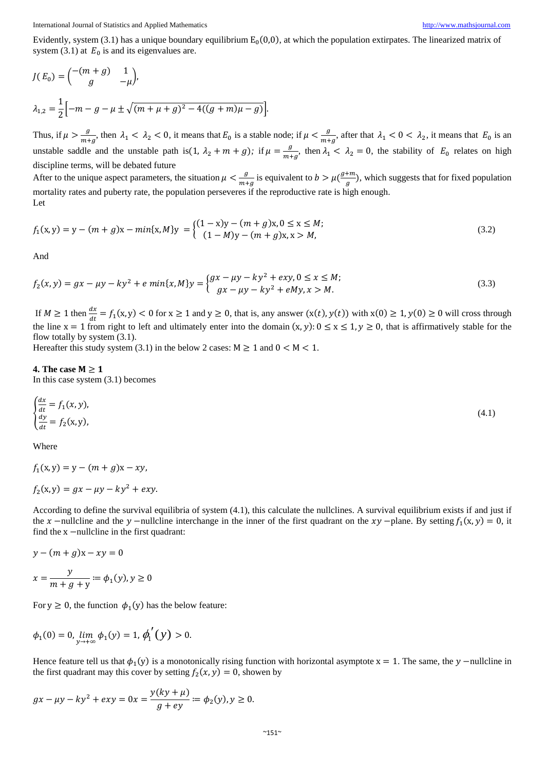Evidently, system (3.1) has a unique boundary equilibrium  $E_0(0,0)$ , at which the population extirpates. The linearized matrix of system (3.1) at  $E_0$  is and its eigenvalues are.

$$
J(E_0) = {\binom{-(m+g)}{g}} \frac{1}{-\mu},
$$
  

$$
\lambda_{1,2} = \frac{1}{2} {\binom{-m - g - \mu \pm \sqrt{(m + \mu + g)^2 - 4((g + m)\mu - g)}}}.
$$

Thus, if  $\mu > \frac{g}{m}$  $\frac{g}{m+g}$ , then  $\lambda_1 < \lambda_2 < 0$ , it means that  $E_0$  is a stable node; if  $\mu < \frac{g}{m+g}$  $\frac{y}{m+y}$ , after that  $\lambda_1 < 0 < \lambda_2$ , it means that  $E_0$  is an unstable saddle and the unstable path is(1,  $\lambda_2 + m + g$ ); if  $\mu = \frac{g}{m}$  $\frac{y}{m+g}$ , then  $\lambda_1 < \lambda_2 = 0$ , the stability of  $E_0$  relates on high discipline terms, will be debated future

After to the unique aspect parameters, the situation  $\mu < \frac{g}{m}$  $\frac{g}{m+g}$  is equivalent to  $b > \mu(\frac{g+m}{g})$  $\frac{dm}{g}$ ), which suggests that for fixed population mortality rates and puberty rate, the population perseveres if the reproductive rate is high enough. Let

$$
f_1(x,y) = y - (m + g)x - min\{x, M\}y = \begin{cases} (1 - x)y - (m + g)x, 0 \le x \le M; \\ (1 - M)y - (m + g)x, x > M, \end{cases}
$$
(3.2)

And

$$
f_2(x,y) = gx - \mu y - ky^2 + e \min\{x, M\}y = \begin{cases} gx - \mu y - ky^2 + exp, 0 \le x \le M; \\ gx - \mu y - ky^2 + eMy, x > M. \end{cases}
$$
(3.3)

If  $M \ge 1$  then  $\frac{dx}{dt} = f_1(x, y) < 0$  for  $x \ge 1$  and  $y \ge 0$ , that is, any answer  $(x(t), y(t))$  with  $x(0) \ge 1, y(0) \ge 0$  will cross through the line  $x = 1$  from right to left and ultimately enter into the domain  $(x, y)$ :  $0 \le x \le 1$ ,  $y \ge 0$ , that is affirmatively stable for the flow totally by system (3.1).

Hereafter this study system (3.1) in the below 2 cases:  $M \ge 1$  and  $0 < M < 1$ .

#### **4. The case**  $M \ge 1$

In this case system (3.1) becomes

$$
\begin{cases}\n\frac{dx}{dt} = f_1(x, y), \\
\frac{dy}{dt} = f_2(x, y),\n\end{cases} \tag{4.1}
$$

Where

$$
f_1(x, y) = y - (m + g)x - xy,
$$
  

$$
f_2(x, y) = gx - \mu y - ky^2 + exp.
$$

According to define the survival equilibria of system (4.1), this calculate the nullclines. A survival equilibrium exists if and just if the x –nullcline and the y –nullcline interchange in the inner of the first quadrant on the  $xy$  –plane. By setting  $f_1(x, y) = 0$ , it find the x −nullcline in the first quadrant:

$$
y - (m + g)x - xy = 0
$$
  

$$
x = \frac{y}{m + g + y} := \phi_1(y), y \ge 0
$$

For  $y \ge 0$ , the function  $\phi_1(y)$  has the below feature:

$$
\phi_1(0) = 0, \lim_{y \to +\infty} \phi_1(y) = 1, \phi_1'(y) > 0.
$$

Hence feature tell us that  $\phi_1(y)$  is a monotonically rising function with horizontal asymptote  $x = 1$ . The same, the y –nullcline in the first quadrant may this cover by setting  $f_2(x, y) = 0$ , showen by

$$
gx - \mu y - ky^2 + exp = 0x = \frac{y(ky + \mu)}{g + ey} \coloneqq \phi_2(y), y \ge 0.
$$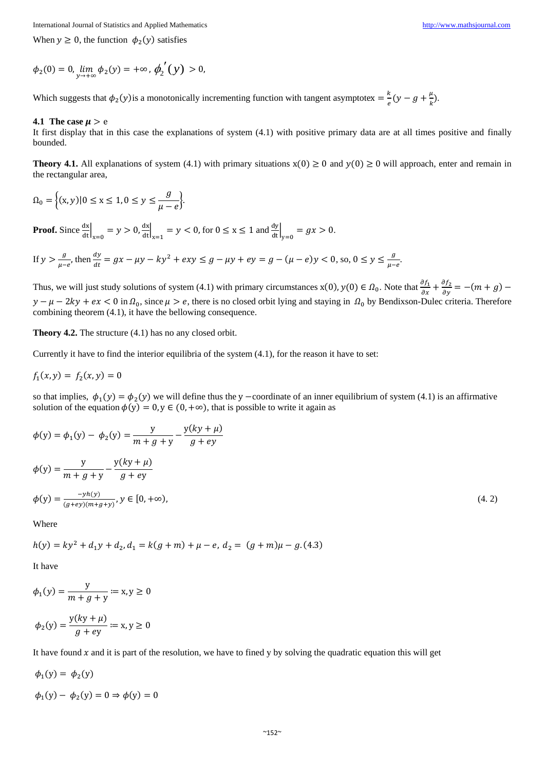When  $y \ge 0$ , the function  $\phi_2(y)$  satisfies

$$
\phi_2(0) = 0, \lim_{y \to +\infty} \phi_2(y) = +\infty, \phi_2'(y) > 0,
$$

Which suggests that  $\phi_2(y)$  is a monotonically incrementing function with tangent asymptotex =  $\frac{k}{e}$  $\frac{k}{e}(y-g+\frac{\mu}{k})$  $\frac{\mu}{k}$ ).

## **4.1** The case  $\mu > e$

It first display that in this case the explanations of system (4.1) with positive primary data are at all times positive and finally bounded.

**Theory 4.1.** All explanations of system (4.1) with primary situations  $x(0) \ge 0$  and  $y(0) \ge 0$  will approach, enter and remain in the rectangular area,

$$
\Omega_0 = \left\{ (x, y) | 0 \le x \le 1, 0 \le y \le \frac{g}{\mu - e} \right\}.
$$

**Proof.** Since  $\frac{dx}{dt}\Big|_{x=0} = y > 0$ ,  $\frac{dx}{dt}\Big|_{x=1} = y < 0$ , for  $0 \le x \le 1$  and  $\frac{dy}{dt}\Big|_{y=0} = gx > 0$ .

If 
$$
y > \frac{g}{\mu - e}
$$
, then  $\frac{dy}{dt} = gx - \mu y - ky^2 + exy \le g - \mu y + ey = g - (\mu - e)y < 0$ , so,  $0 \le y \le \frac{g}{\mu - e}$ .

Thus, we will just study solutions of system (4.1) with primary circumstances  $x(0)$ ,  $y(0) \in \Omega_0$ . Note that  $\frac{\partial f_1}{\partial x} + \frac{\partial f_2}{\partial y} = -(m + g)$  $y - \mu - 2ky + ex < 0$  in  $\Omega_0$ , since  $\mu > e$ , there is no closed orbit lying and staying in  $\Omega_0$  by Bendixson-Dulec criteria. Therefore combining theorem (4.1), it have the bellowing consequence.

**Theory 4.2.** The structure  $(4.1)$  has no any closed orbit.

Currently it have to find the interior equilibria of the system (4.1), for the reason it have to set:

$$
f_1(x, y) = f_2(x, y) = 0
$$

so that implies,  $\phi_1(y) = \phi_2(y)$  we will define thus the y -coordinate of an inner equilibrium of system (4.1) is an affirmative solution of the equation  $\phi(y) = 0$ ,  $y \in (0, +\infty)$ , that is possible to write it again as

$$
\phi(y) = \phi_1(y) - \phi_2(y) = \frac{y}{m + g + y} - \frac{y(ky + \mu)}{g + ey}
$$
  
\n
$$
\phi(y) = \frac{y}{m + g + y} - \frac{y(ky + \mu)}{g + ey}
$$
  
\n
$$
\phi(y) = \frac{-yh(y)}{(g+ey)(m+g+y)}, y \in [0, +\infty),
$$
\n(4.2)

Where

$$
h(y) = ky^2 + d_1y + d_2, d_1 = k(g+m) + \mu - e, d_2 = (g+m)\mu - g.
$$
 (4.3)

It have

$$
\phi_1(y) = \frac{y}{m + g + y} := x, y \ge 0
$$

$$
\phi_2(y) = \frac{y(ky + \mu)}{g + ey} := x, y \ge 0
$$

It have found  $x$  and it is part of the resolution, we have to fined y by solving the quadratic equation this will get

$$
\phi_1(y) = \phi_2(y)
$$
  

$$
\phi_1(y) - \phi_2(y) = 0 \Rightarrow \phi(y) = 0
$$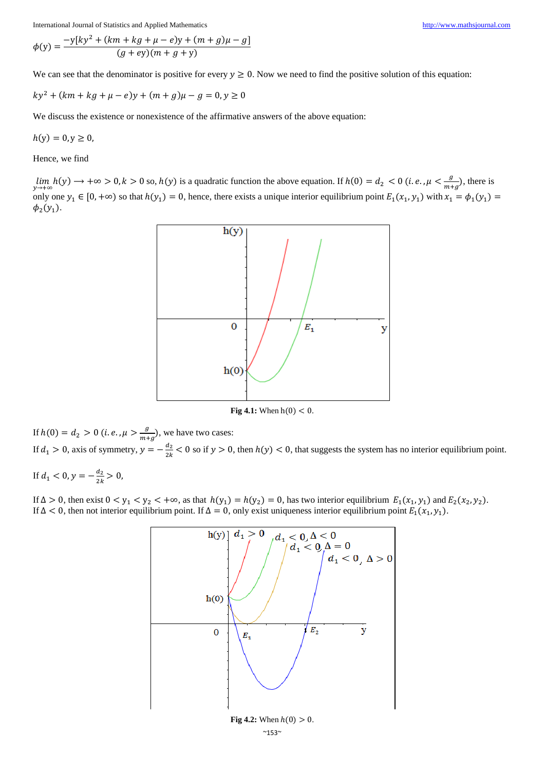$$
\phi(y) = \frac{-y[ky^{2} + (km + kg + \mu - e)y + (m + g)\mu - g]}{(g + ey)(m + g + y)}
$$

We can see that the denominator is positive for every  $y \ge 0$ . Now we need to find the positive solution of this equation:

 $ky^{2} + (km + kg + \mu - e)y + (m + g)\mu - g = 0, y \ge 0$ 

We discuss the existence or nonexistence of the affirmative answers of the above equation:

 $h(v) = 0, v \ge 0$ 

Hence, we find

 $\lim_{y\to+\infty} h(y) \to +\infty > 0, k > 0$  so,  $h(y)$  is a quadratic function the above equation. If  $h(0) = d_2 < 0$  (i.e.,  $\mu < \frac{g}{m_1}$ )  $\frac{y}{m+g}$ , there is only one  $y_1 \in [0, +\infty)$  so that  $h(y_1) = 0$ , hence, there exists a unique interior equilibrium point  $E_1(x_1, y_1)$  with  $x_1 = \phi_1(y_1)$  $\phi_2(y_1)$ .



**Fig 4.1:** When  $h(0) < 0$ .

If  $h(0) = d_2 > 0$  (*i.e.*,  $\mu > \frac{g}{m_1}$  $\frac{y}{m+g}$ ), we have two cases: If  $d_1 > 0$ , axis of symmetry,  $y = -\frac{d_2}{dx}$  $\frac{u_2}{2k}$  < 0 so if  $y > 0$ , then  $h(y) < 0$ , that suggests the system has no interior equilibrium point.

If  $d_1 < 0, y = -\frac{d_2}{2k}$  $\frac{u_2}{2k} > 0$ ,

If  $\Delta > 0$ , then exist  $0 < y_1 < y_2 < +\infty$ , as that  $h(y_1) = h(y_2) = 0$ , has two interior equilibrium  $E_1(x_1, y_1)$  and  $E_2(x_2, y_2)$ . If  $\Delta < 0$ , then not interior equilibrium point. If  $\Delta = 0$ , only exist uniqueness interior equilibrium point  $E_1(x_1, y_1)$ .

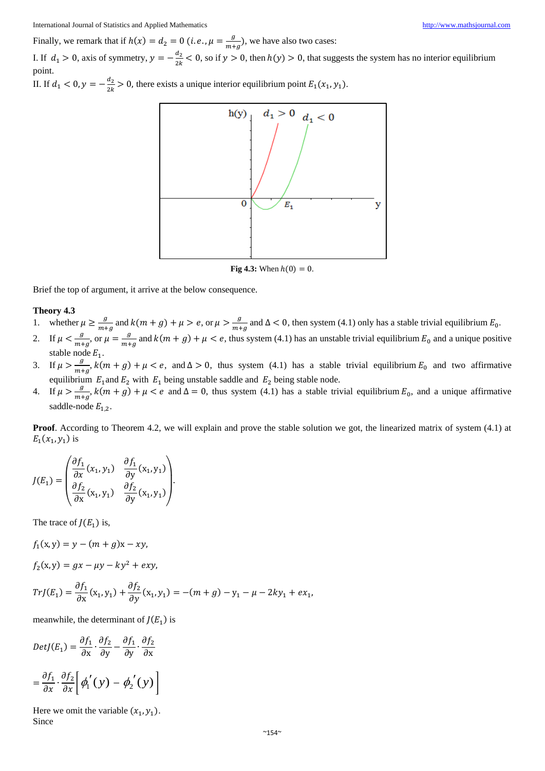Finally, we remark that if  $h(x) = d_2 = 0$  (*i.e.*,  $\mu = \frac{g}{m_1}$  $\frac{g}{m+g}$ ), we have also two cases: I. If  $d_1 > 0$ , axis of symmetry,  $y = -\frac{d_2}{dx}$ 

 $\frac{a_2}{2k}$  < 0, so if  $y > 0$ , then  $h(y) > 0$ , that suggests the system has no interior equilibrium point.

II. If  $d_1 < 0, y = -\frac{d_2}{2k}$  $\frac{u_2}{2k} > 0$ , there exists a unique interior equilibrium point  $E_1(x_1, y_1)$ .



**Fig 4.3:** When  $h(0) = 0$ .

Brief the top of argument, it arrive at the below consequence.

### **Theory 4.3**

- 1. whether  $\mu \geq \frac{g}{m}$  $\frac{g}{m+g}$  and  $k(m+g) + \mu > e$ , or  $\mu > \frac{g}{m+g}$  $\frac{y}{m+g}$  and  $\Delta < 0$ , then system (4.1) only has a stable trivial equilibrium  $E_0$ .
- 2. If  $\mu < \frac{g}{m}$  $\frac{g}{m+g}$ , or  $\mu = \frac{g}{m+g}$  $\frac{y}{m+g}$  and  $k(m+g) + \mu < e$ , thus system (4.1) has an unstable trivial equilibrium  $E_0$  and a unique positive stable node  $E_1$ .
- 3. If  $\mu > \frac{g}{m}$  $\frac{y}{m+g}$ ,  $k(m+g) + \mu < e$ , and  $\Delta > 0$ , thus system (4.1) has a stable trivial equilibrium  $E_0$  and two affirmative equilibrium  $E_1$  and  $E_2$  with  $E_1$  being unstable saddle and  $E_2$  being stable node.
- 4. If  $\mu > \frac{g}{m}$  $\frac{y}{m+g}$ ,  $k(m+g) + \mu < e$  and  $\Delta = 0$ , thus system (4.1) has a stable trivial equilibrium  $E_0$ , and a unique affirmative saddle-node  $E_{1,2}$ .

**Proof**. According to Theorem 4.2, we will explain and prove the stable solution we got, the linearized matrix of system (4.1) at  $E_1(x_1, y_1)$  is

$$
J(E_1) = \begin{pmatrix} \frac{\partial f_1}{\partial x}(x_1, y_1) & \frac{\partial f_1}{\partial y}(x_1, y_1) \\ \frac{\partial f_2}{\partial x}(x_1, y_1) & \frac{\partial f_2}{\partial y}(x_1, y_1) \end{pmatrix}.
$$

The trace of  $J(E_1)$  is,

$$
f_1(x,y) = y - (m+g)x - xy,
$$

$$
f_2(x,y) = gx - \mu y - ky^2 + exp,
$$

$$
TrJ(E_1) = \frac{\partial f_1}{\partial x}(x_1, y_1) + \frac{\partial f_2}{\partial y}(x_1, y_1) = -(m+g) - y_1 - \mu - 2ky_1 + ex_1,
$$

meanwhile, the determinant of  $J(E_1)$  is

$$
DetJ(E_1) = \frac{\partial f_1}{\partial x} \cdot \frac{\partial f_2}{\partial y} - \frac{\partial f_1}{\partial y} \cdot \frac{\partial f_2}{\partial x}
$$

$$
= \frac{\partial f_1}{\partial x} \cdot \frac{\partial f_2}{\partial x} \left[ \phi_1'(y) - \phi_2'(y) \right]
$$

Here we omit the variable  $(x_1, y_1)$ . Since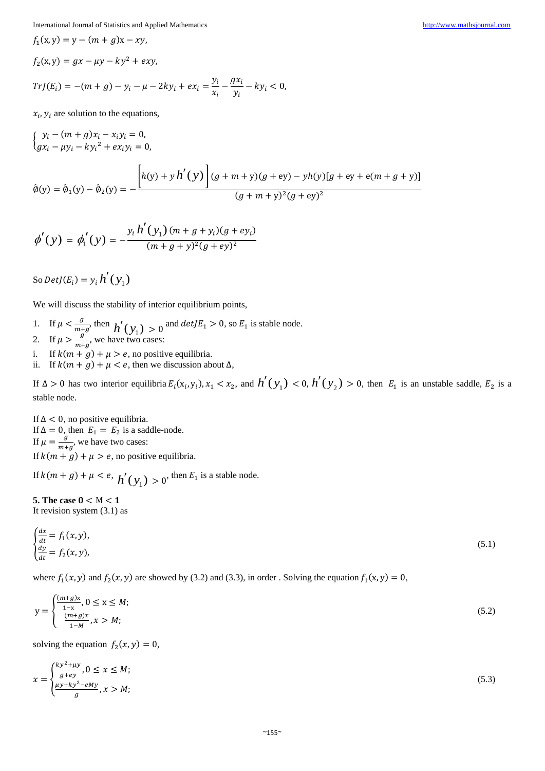$$
f_1(x, y) = y - (m + g)x - xy,
$$
  
\n
$$
f_2(x, y) = gx - \mu y - ky^2 + exp,
$$
  
\n
$$
TrJ(E_i) = -(m + g) - y_i - \mu - 2ky_i + ex_i = \frac{y_i}{x_i} - \frac{gx_i}{y_i} - ky_i < 0,
$$
  
\n
$$
y = y = g_1 + g_2 + g_3 = \frac{gy_i}{x_i} - \frac{gx_i}{y_i} - ky_i < 0,
$$

 $x_i$ ,  $y_i$  are solution to the equations,

$$
\begin{aligned} \left\{ \begin{aligned} y_i - (m+g)x_i - x_i y_i &= 0, \\ \left\{ g x_i - \mu y_i - k y_i^2 + e x_i y_i &= 0, \right. \end{aligned} \right. \\ \left. \begin{aligned} \hat{\phi}(y) &= \hat{\phi}_1(y) - \hat{\phi}_2(y) &= -\frac{\left[ h(y) + y h'(y) \right] (g+m+y)(g+ey) - y h(y) [g+ey+e(m+g+y)]}{(g+m+y)^2 (g+ey)^2} \end{aligned} \right. \end{aligned}
$$

$$
\phi'(y) = \phi_1'(y) = -\frac{y_i h'(y_1)(m+g+y_i)(g+ey_i)}{(m+g+y)^2(g+ey)^2}
$$

So  $DetJ(E_i) = y_i h'(y_i)$ 

We will discuss the stability of interior equilibrium points,

- 1. If  $\mu < \frac{g}{m}$  $\frac{g}{m+g}$ , then  $h'(y_1) > 0$  and  $detJE_1 > 0$ , so  $E_1$  is stable node.
- 2. If  $\mu > \frac{g}{m}$  $\frac{y}{m+g}$ , we have two cases:
- i. If  $k(m + g) + \mu > e$ , no positive equilibria.
- ii. If  $k(m + g) + \mu < e$ , then we discussion about  $\Delta$ ,

If  $\Delta > 0$  has two interior equilibria  $E_i(x_i, y_i)$ ,  $x_1 < x_2$ , and  $h'(y_1) < 0$ ,  $h'(y_2) > 0$ , then  $E_1$  is an unstable saddle,  $E_2$  is a stable node.

If  $\Delta$  < 0, no positive equilibria. If  $\Delta = 0$ , then  $E_1 = E_2$  is a saddle-node. If  $\mu = \frac{g}{m}$  $\frac{y}{m+g}$ , we have two cases: If  $k(m + g) + \mu > e$ , no positive equilibria.

If  $k(m + g) + \mu < e$ ,  $h'(\mathcal{Y}_1) > 0$ , then  $E_1$  is a stable node.

**5.** The case  $0 < M < 1$ It revision system (3.1) as

$$
\begin{cases}\n\frac{dx}{dt} = f_1(x, y), \\
\frac{dy}{dt} = f_2(x, y),\n\end{cases} (5.1)
$$

where  $f_1(x, y)$  and  $f_2(x, y)$  are showed by (3.2) and (3.3), in order . Solving the equation  $f_1(x, y) = 0$ ,

$$
y = \begin{cases} \frac{(m+g)x}{1-x}, 0 \le x \le M; \\ \frac{(m+g)x}{1-M}, x > M; \end{cases}
$$
 (5.2)

solving the equation  $f_2(x, y) = 0$ ,

$$
x = \begin{cases} \frac{ky^2 + \mu y}{g + \epsilon y}, 0 \le x \le M; \\ \frac{\mu y + ky^2 - \epsilon My}{g}, x > M; \end{cases}
$$
 (5.3)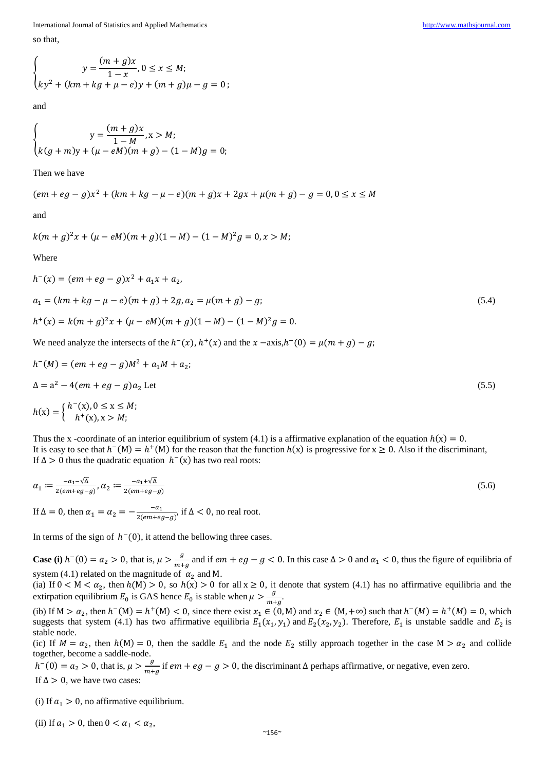International Journal of Statistics and Applied Mathematics [http://www.mathsjournal.com](http://www.mathsjournal.com/) so that,

and

$$
\begin{cases}\n y = \frac{(m+g)x}{1-M}, x > M; \\
 k(g+m)y + (\mu - eM)(m+g) - (1-M)g = 0;\n\end{cases}
$$

Then we have

$$
(em+eg-g)x^2 + (km+kg-\mu-e)(m+g)x + 2gx + \mu(m+g) - g = 0, 0 \le x \le M
$$

and

$$
k(m+g)^2x + (\mu - eM)(m+g)(1-M) - (1-M)^2g = 0, x > M;
$$

Where

$$
h^{-}(x) = (em + eg - g)x^{2} + a_{1}x + a_{2},
$$
  
\n
$$
a_{1} = (km + kg - \mu - e)(m + g) + 2g, a_{2} = \mu(m + g) - g;
$$
  
\n
$$
h^{+}(x) = k(m + g)^{2}x + (\mu - eM)(m + g)(1 - M) - (1 - M)^{2}g = 0.
$$
\n(5.4)

We need analyze the intersects of the  $h^-(x)$ ,  $h^+(x)$  and the  $x - axis, h^-(0) = \mu(m + g) - g$ ;

$$
h^{-}(M) = (em + eg - g)M^{2} + a_{1}M + a_{2};
$$
  
\n
$$
\Delta = a^{2} - 4(em + eg - g)a_{2} \text{ Let}
$$
  
\n
$$
h(x) = \begin{cases} h^{-}(x), 0 \le x \le M; \\ h^{+}(x), x > M; \end{cases}
$$
\n(5.5)

Thus the x -coordinate of an interior equilibrium of system (4.1) is a affirmative explanation of the equation  $h(x) = 0$ . It is easy to see that  $h^-(M) = h^+(M)$  for the reason that the function  $h(x)$  is progressive for  $x \ge 0$ . Also if the discriminant, If  $\Delta > 0$  thus the quadratic equation  $h^-(x)$  has two real roots:

$$
\alpha_1 := \frac{-a_1 - \sqrt{\Delta}}{2(em + eg - g)}, \alpha_2 := \frac{-a_1 + \sqrt{\Delta}}{2(em + eg - g)}
$$
\n
$$
\text{If } \Delta = 0 \text{, then } \alpha_1 = \alpha_2 = -\frac{-a_1}{2(em + eg - g)}, \text{ if } \Delta < 0 \text{, no real root.}
$$
\n
$$
\tag{5.6}
$$

In terms of the sign of  $h^-(0)$ , it attend the bellowing three cases.

**Case (i)**  $h^{-}(0) = a_2 > 0$ , that is,  $\mu > \frac{g}{m+1}$  $\frac{y}{m+g}$  and if  $em + eg - g < 0$ . In this case  $\Delta > 0$  and  $\alpha_1 < 0$ , thus the figure of equilibria of system (4.1) related on the magnitude of  $\alpha_2$  and M.

(ia) If  $0 < M < \alpha_2$ , then  $h(M) > 0$ , so  $h(x) > 0$  for all  $x \ge 0$ , it denote that system (4.1) has no affirmative equilibria and the extirpation equilibrium  $E_0$  is GAS hence  $E_0$  is stable when  $\mu > \frac{g}{m}$  $\frac{y}{m+g}$ .

(ib) If  $M > \alpha_2$ , then  $h^-(M) = h^+(M) < 0$ , since there exist  $x_1 \in (0, M)$  and  $x_2 \in (M, +\infty)$  such that  $h^-(M) = h^+(M) = 0$ , which suggests that system (4.1) has two affirmative equilibria  $E_1(x_1, y_1)$  and  $E_2(x_2, y_2)$ . Therefore,  $E_1$  is unstable saddle and  $E_2$  is stable node.

(ic) If  $M = \alpha_2$ , then  $h(M) = 0$ , then the saddle  $E_1$  and the node  $E_2$  stilly approach together in the case  $M > \alpha_2$  and collide together, become a saddle-node.

 $h^{-}(0) = a_2 > 0$ , that is,  $\mu > \frac{g}{m+1}$  $\frac{g}{m+g}$  if  $em + eg - g > 0$ , the discriminant  $\Delta$  perhaps affirmative, or negative, even zero. If  $\Delta > 0$ , we have two cases:

(i) If  $a_1 > 0$ , no affirmative equilibrium.

(ii) If  $a_1 > 0$ , then  $0 < a_1 < a_2$ ,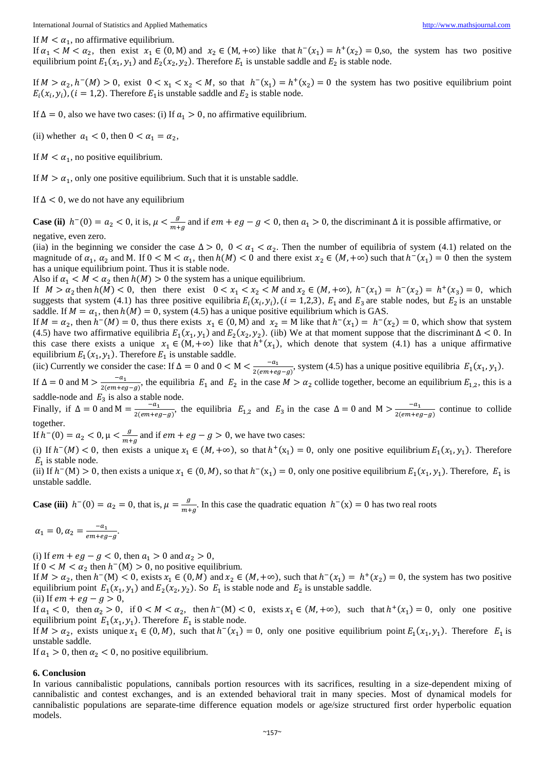If  $M < \alpha_1$ , no affirmative equilibrium.

If  $\alpha_1 < M < \alpha_2$ , then exist  $x_1 \in (0, M)$  and  $x_2 \in (M, +\infty)$  like that  $h^-(x_1) = h^+(x_2) = 0$ , so, the system has two positive equilibrium point  $E_1(x_1, y_1)$  and  $E_2(x_2, y_2)$ . Therefore  $E_1$  is unstable saddle and  $E_2$  is stable node.

If  $M > \alpha_2$ ,  $h^-(M) > 0$ , exist  $0 < x_1 < x_2 < M$ , so that  $h^-(x_1) = h^+(x_2) = 0$  the system has two positive equilibrium point  $E_i(x_i, y_i)$ ,  $(i = 1, 2)$ . Therefore  $E_1$  is unstable saddle and  $E_2$  is stable node.

If  $\Delta = 0$ , also we have two cases: (i) If  $a_1 > 0$ , no affirmative equilibrium.

(ii) whether  $a_1 < 0$ , then  $0 < a_1 = a_2$ ,

If  $M < \alpha_1$ , no positive equilibrium.

If  $M > \alpha_1$ , only one positive equilibrium. Such that it is unstable saddle.

If  $\Delta$  < 0, we do not have any equilibrium

**Case (ii)**  $h^{-}(0) = a_2 < 0$ , it is,  $\mu < \frac{g}{m+1}$  $\frac{g}{m+g}$  and if  $em + eg - g < 0$ , then  $a_1 > 0$ , the discriminant  $\Delta$  it is possible affirmative, or negative, even zero.

(iia) in the beginning we consider the case  $\Delta > 0$ ,  $0 < \alpha_1 < \alpha_2$ . Then the number of equilibria of system (4.1) related on the magnitude of  $\alpha_1$ ,  $\alpha_2$  and M. If  $0 < M < \alpha_1$ , then  $h(M) < 0$  and there exist  $x_2 \in (M, +\infty)$  such that  $h^-(x_1) = 0$  then the system has a unique equilibrium point. Thus it is stable node.

Also if  $\alpha_1 < M < \alpha_2$  then  $h(M) > 0$  the system has a unique equilibrium.

If  $M > \alpha_2$  then  $h(M) < 0$ , then there exist  $0 < x_1 < x_2 < M$  and  $x_2 \in (M, +\infty)$ ,  $h^-(x_1) = h^-(x_2) = h^+(x_3) = 0$ , which suggests that system (4.1) has three positive equilibria  $E_i(x_i, y_i)$ ,  $(i = 1,2,3)$ ,  $E_1$  and  $E_3$  are stable nodes, but  $E_2$  is an unstable saddle. If  $M = \alpha_1$ , then  $h(M) = 0$ , system (4.5) has a unique positive equilibrium which is GAS.

If  $M = \alpha_2$ , then  $h^-(M) = 0$ , thus there exists  $x_1 \in (0, M)$  and  $x_2 = M$  like that  $h^-(x_1) = h^-(x_2) = 0$ , which show that system (4.5) have two affirmative equilibria  $E_1(x_1, y_1)$  and  $E_2(x_2, y_2)$ . (iib) We at that moment suppose that the discriminant  $\Delta < 0$ . In this case there exists a unique  $x_1 \in (M, +\infty)$  like that  $h^+(x_1)$ , which denote that system (4.1) has a unique affirmative equilibrium  $E_1(x_1, y_1)$ . Therefore  $E_1$  is unstable saddle.

(iic) Currently we consider the case: If  $\Delta = 0$  and  $0 < M < \frac{-a_1}{2(m+n)}$  $\frac{-a_1}{2(em+eg-g)}$ , system (4.5) has a unique positive equilibria  $E_1(x_1, y_1)$ .

If  $\Delta = 0$  and  $M > \frac{-a_1}{2(m+1)}$  $\frac{-a_1}{2(em+eg-g)}$ , the equilibria  $E_1$  and  $E_2$  in the case  $M > \alpha_2$  collide together, become an equilibrium  $E_{1,2}$ , this is a saddle-node and  $E_3$  is also a stable node.

Finally, if  $\Delta = 0$  and  $M = \frac{-a_1}{2(m+n)}$  $\frac{-a_1}{2(em+eg-g)}$ , the equilibria  $E_{1,2}$  and  $E_3$  in the case  $\Delta = 0$  and  $M > \frac{-a_1}{2(em+eg)}$  $\frac{-a_1}{2(em+eg-g)}$  continue to collide together.

If  $h^-(0) = a_2 < 0, \mu < \frac{g}{m+1}$  $\frac{g}{m+g}$  and if  $em + eg - g > 0$ , we have two cases:

(i) If  $h^-(M) < 0$ , then exists a unique  $x_1 \in (M, +\infty)$ , so that  $h^+(x_1) = 0$ , only one positive equilibrium  $E_1(x_1, y_1)$ . Therefore  $E_1$  is stable node.

(ii) If  $h^-(M) > 0$ , then exists a unique  $x_1 \in (0, M)$ , so that  $h^-(x_1) = 0$ , only one positive equilibrium  $E_1(x_1, y_1)$ . Therefore,  $E_1$  is unstable saddle.

**Case (iii)**  $h^{-}(0) = a_2 = 0$ , that is,  $\mu = \frac{g}{m_1}$  $\frac{g}{m+g}$ . In this case the quadratic equation  $h^-(x) = 0$  has two real roots

$$
\alpha_1=0, \alpha_2=\frac{-a_1}{em+eg-g}.
$$

(i) If  $em + eg - g < 0$ , then  $a_1 > 0$  and  $a_2 > 0$ ,

If  $0 < M < \alpha_2$  then  $h^-(M) > 0$ , no positive equilibrium.

If  $M > \alpha_2$ , then  $h^-(M) < 0$ , exists  $x_1 \in (0, M)$  and  $x_2 \in (M, +\infty)$ , such that  $h^-(x_1) = h^+(x_2) = 0$ , the system has two positive equilibrium point  $E_1(x_1, y_1)$  and  $E_2(x_2, y_2)$ . So  $E_1$  is stable node and  $E_2$  is unstable saddle.

(ii) If  $em + eg - g > 0$ ,

If  $a_1 < 0$ , then  $a_2 > 0$ , if  $0 < M < a_2$ , then  $h^-(M) < 0$ , exists  $x_1 \in (M, +\infty)$ , such that  $h^+(x_1) = 0$ , only one positive equilibrium point  $E_1(x_1, y_1)$ . Therefore  $E_1$  is stable node.

If  $M > \alpha_2$ , exists unique  $x_1 \in (0, M)$ , such that  $h^-(x_1) = 0$ , only one positive equilibrium point  $E_1(x_1, y_1)$ . Therefore  $E_1$  is unstable saddle.

If  $a_1 > 0$ , then  $a_2 < 0$ , no positive equilibrium.

#### **6. Conclusion**

In various cannibalistic populations, cannibals portion resources with its sacrifices, resulting in a size-dependent mixing of cannibalistic and contest exchanges, and is an extended behavioral trait in many species. Most of dynamical models for cannibalistic populations are separate-time difference equation models or age/size structured first order hyperbolic equation models.